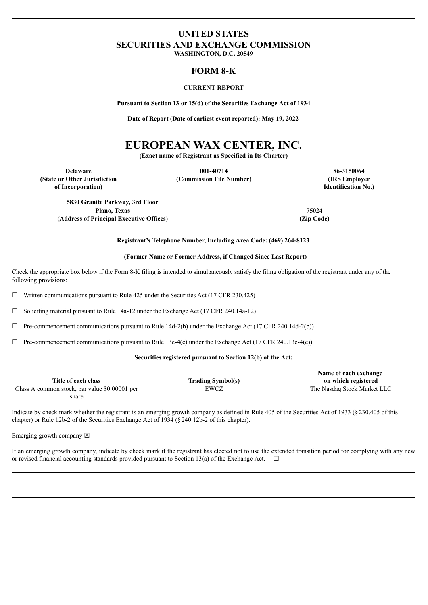# **UNITED STATES SECURITIES AND EXCHANGE COMMISSION**

**WASHINGTON, D.C. 20549**

## **FORM 8-K**

## **CURRENT REPORT**

**Pursuant to Section 13 or 15(d) of the Securities Exchange Act of 1934**

**Date of Report (Date of earliest event reported): May 19, 2022**

# **EUROPEAN WAX CENTER, INC.**

**(Exact name of Registrant as Specified in Its Charter)**

**Delaware 001-40714 86-3150064 (State or Other Jurisdiction of Incorporation)**

**(Commission File Number) (IRS Employer**

**Identification No.)**

**5830 Granite Parkway, 3rd Floor Plano, Texas 75024 (Address of Principal Executive Offices) (Zip Code)**

**Registrant's Telephone Number, Including Area Code: (469) 264-8123**

## **(Former Name or Former Address, if Changed Since Last Report)**

Check the appropriate box below if the Form 8-K filing is intended to simultaneously satisfy the filing obligation of the registrant under any of the following provisions:

 $\Box$  Written communications pursuant to Rule 425 under the Securities Act (17 CFR 230.425)

 $\Box$  Soliciting material pursuant to Rule 14a-12 under the Exchange Act (17 CFR 240.14a-12)

 $\Box$  Pre-commencement communications pursuant to Rule 14d-2(b) under the Exchange Act (17 CFR 240.14d-2(b))

 $\Box$  Pre-commencement communications pursuant to Rule 13e-4(c) under the Exchange Act (17 CFR 240.13e-4(c))

## **Securities registered pursuant to Section 12(b) of the Act:**

|                                               |                          | Name of each exchange       |
|-----------------------------------------------|--------------------------|-----------------------------|
| Title of each class                           | <b>Trading Symbol(s)</b> | on which registered         |
| Class A common stock, par value \$0.00001 per | EWCZ                     | The Nasdaq Stock Market LLC |
| share                                         |                          |                             |

Indicate by check mark whether the registrant is an emerging growth company as defined in Rule 405 of the Securities Act of 1933 (§230.405 of this chapter) or Rule 12b-2 of the Securities Exchange Act of 1934 (§240.12b-2 of this chapter).

Emerging growth company  $\boxtimes$ 

If an emerging growth company, indicate by check mark if the registrant has elected not to use the extended transition period for complying with any new or revised financial accounting standards provided pursuant to Section 13(a) of the Exchange Act.  $\Box$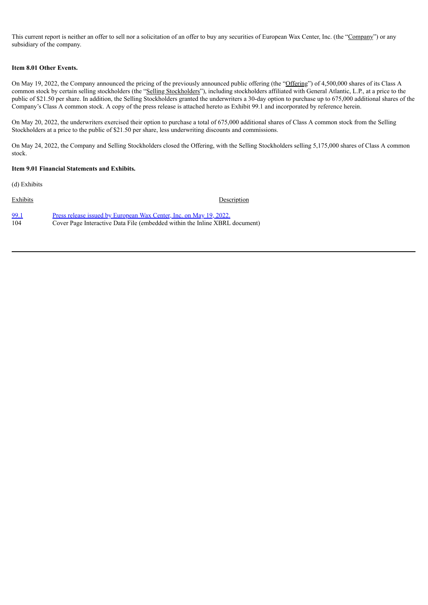This current report is neither an offer to sell nor a solicitation of an offer to buy any securities of European Wax Center, Inc. (the "Company") or any subsidiary of the company.

## **Item 8.01 Other Events.**

On May 19, 2022, the Company announced the pricing of the previously announced public offering (the "Offering") of 4,500,000 shares of its Class A common stock by certain selling stockholders (the "Selling Stockholders"), including stockholders affiliated with General Atlantic, L.P., at a price to the public of \$21.50 per share. In addition, the Selling Stockholders granted the underwriters a 30-day option to purchase up to 675,000 additional shares of the Company's Class A common stock. A copy of the press release is attached hereto as Exhibit 99.1 and incorporated by reference herein.

On May 20, 2022, the underwriters exercised their option to purchase a total of 675,000 additional shares of Class A common stock from the Selling Stockholders at a price to the public of \$21.50 per share, less underwriting discounts and commissions.

On May 24, 2022, the Company and Selling Stockholders closed the Offering, with the Selling Stockholders selling 5,175,000 shares of Class A common stock.

## **Item 9.01 Financial Statements and Exhibits.**

(d) Exhibits

| Exhibits | Description                                                                 |
|----------|-----------------------------------------------------------------------------|
| 99.1     | Press release issued by European Wax Center, Inc. on May 19, 2022.          |
| 104      | Cover Page Interactive Data File (embedded within the Inline XBRL document) |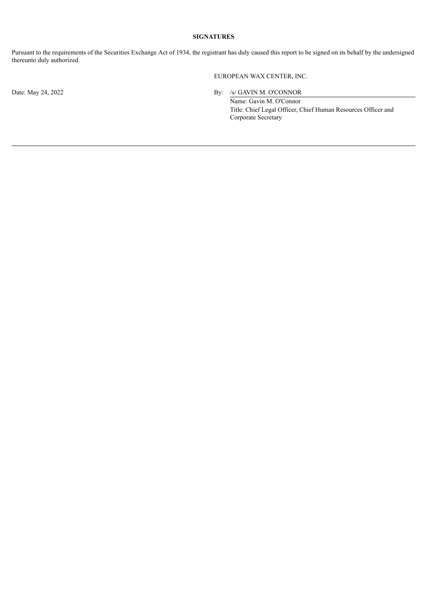## **SIGNATURES**

Pursuant to the requirements of the Securities Exchange Act of 1934, the registrant has duly caused this report to be signed on its behalf by the undersigned thereunto duly authorized.

EUROPEAN WAX CENTER, INC.

Date: May 24, 2022 By: /s/ GAVIN M. O'CONNOR

Name: Gavin M. O'Connor Title: Chief Legal Officer, Chief Human Resources Officer and Corporate Secretary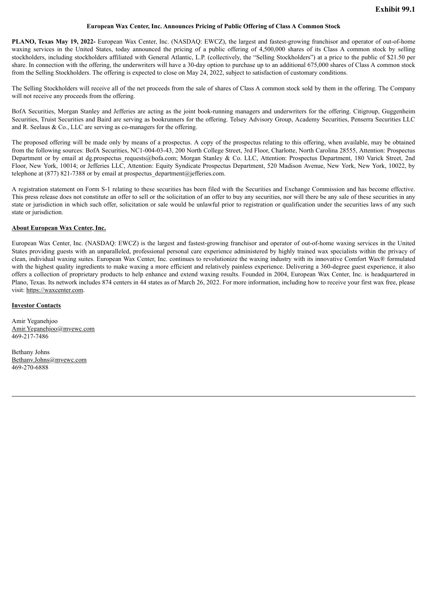#### **European Wax Center, Inc. Announces Pricing of Public Offering of Class A Common Stock**

<span id="page-3-0"></span>**PLANO, Texas May 19, 2022-** European Wax Center, Inc. (NASDAQ: EWCZ), the largest and fastest-growing franchisor and operator of out-of-home waxing services in the United States, today announced the pricing of a public offering of 4,500,000 shares of its Class A common stock by selling stockholders, including stockholders affiliated with General Atlantic, L.P. (collectively, the "Selling Stockholders") at a price to the public of \$21.50 per share. In connection with the offering, the underwriters will have a 30-day option to purchase up to an additional 675,000 shares of Class A common stock from the Selling Stockholders. The offering is expected to close on May 24, 2022, subject to satisfaction of customary conditions.

The Selling Stockholders will receive all of the net proceeds from the sale of shares of Class A common stock sold by them in the offering. The Company will not receive any proceeds from the offering.

BofA Securities, Morgan Stanley and Jefferies are acting as the joint book-running managers and underwriters for the offering. Citigroup, Guggenheim Securities, Truist Securities and Baird are serving as bookrunners for the offering. Telsey Advisory Group, Academy Securities, Penserra Securities LLC and R. Seelaus  $& Co., LLC$  are serving as co-managers for the offering.

The proposed offering will be made only by means of a prospectus. A copy of the prospectus relating to this offering, when available, may be obtained from the following sources: BofA Securities, NC1-004-03-43, 200 North College Street, 3rd Floor, Charlotte, North Carolina 28555, Attention: Prospectus Department or by email at dg.prospectus requests@bofa.com; Morgan Stanley & Co. LLC, Attention: Prospectus Department, 180 Varick Street, 2nd Floor, New York, 10014; or Jefferies LLC, Attention: Equity Syndicate Prospectus Department, 520 Madison Avenue, New York, New York, 10022, by telephone at  $(877)$  821-7388 or by email at prospectus department@jefferies.com.

A registration statement on Form S-1 relating to these securities has been filed with the Securities and Exchange Commission and has become effective. This press release does not constitute an offer to sell or the solicitation of an offer to buy any securities, nor will there be any sale of these securities in any state or jurisdiction in which such offer, solicitation or sale would be unlawful prior to registration or qualification under the securities laws of any such state or jurisdiction.

#### **About European Wax Center, Inc.**

European Wax Center, Inc. (NASDAQ: EWCZ) is the largest and fastest-growing franchisor and operator of out-of-home waxing services in the United States providing guests with an unparalleled, professional personal care experience administered by highly trained wax specialists within the privacy of clean, individual waxing suites. European Wax Center, Inc. continues to revolutionize the waxing industry with its innovative Comfort Wax® formulated with the highest quality ingredients to make waxing a more efficient and relatively painless experience. Delivering a 360-degree guest experience, it also offers a collection of proprietary products to help enhance and extend waxing results. Founded in 2004, European Wax Center, Inc. is headquartered in Plano, Texas. Its network includes 874 centers in 44 states as of March 26, 2022. For more information, including how to receive your first wax free, please visit: https://waxcenter.com.

## **Investor Contacts**

Amir Yeganehjoo Amir.Yeganehjoo@myewc.com 469-217-7486

Bethany Johns Bethany.Johns@myewc.com 469-270-6888